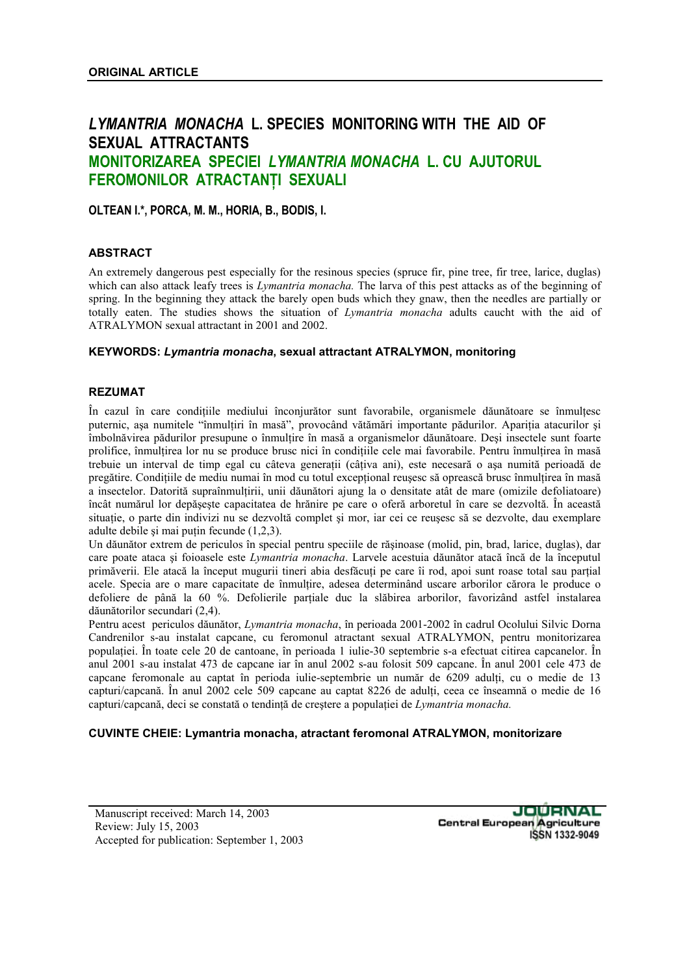# *LYMANTRIA MONACHA* **L. SPECIES MONITORING WITH THE AID OF SEXUAL ATTRACTANTS MONITORIZAREA SPECIEI** *LYMANTRIA MONACHA* **L. CU AJUTORUL FEROMONILOR ATRACTANŢI SEXUALI**

**OLTEAN I.\*, PORCA, M. M., HORIA, B., BODIS, I.** 

### **ABSTRACT**

An extremely dangerous pest especially for the resinous species (spruce fir, pine tree, fir tree, larice, duglas) which can also attack leafy trees is *Lymantria monacha.* The larva of this pest attacks as of the beginning of spring. In the beginning they attack the barely open buds which they gnaw, then the needles are partially or totally eaten. The studies shows the situation of *Lymantria monacha* adults caucht with the aid of ATRALYMON sexual attractant in 2001 and 2002.

#### **KEYWORDS:** *Lymantria monacha***, sexual attractant ATRALYMON, monitoring**

#### **REZUMAT**

În cazul în care condiţiile mediului înconjurător sunt favorabile, organismele dăunătoare se înmulţesc puternic, așa numitele "înmulțiri în masă", provocând vătămări importante pădurilor. Apariția atacurilor și îmbolnăvirea pădurilor presupune o înmultire în masă a organismelor dăunătoare. Deși insectele sunt foarte prolifice, înmultirea lor nu se produce brusc nici în conditiile cele mai favorabile. Pentru înmultirea în masă trebuie un interval de timp egal cu câteva generații (câțiva ani), este necesară o asa numită perioadă de pregătire. Condițiile de mediu numai în mod cu totul excepțional reușesc să oprească brusc înmulțirea în masă a insectelor. Datorită supraînmultirii, unii dăunători ajung la o densitate atât de mare (omizile defoliatoare) încât numărul lor depăşeşte capacitatea de hrănire pe care o oferă arboretul în care se dezvoltă. În această situatie, o parte din indivizi nu se dezvoltă complet și mor, iar cei ce reusesc să se dezvolte, dau exemplare adulte debile şi mai puţin fecunde (1,2,3).

Un dăunător extrem de periculos în special pentru speciile de răşinoase (molid, pin, brad, larice, duglas), dar care poate ataca şi foioasele este *Lymantria monacha*. Larvele acestuia dăunător atacă încă de la începutul primăverii. Ele atacă la început mugurii tineri abia desfăcuţi pe care îi rod, apoi sunt roase total sau parţial acele. Specia are o mare capacitate de înmultire, adesea determinând uscare arborilor cărora le produce o defoliere de până la 60 %. Defolierile parțiale duc la slăbirea arborilor, favorizând astfel instalarea dăunătorilor secundari (2,4).

Pentru acest periculos dăunător, *Lymantria monacha*, în perioada 2001-2002 în cadrul Ocolului Silvic Dorna Candrenilor s-au instalat capcane, cu feromonul atractant sexual ATRALYMON, pentru monitorizarea populaţiei. În toate cele 20 de cantoane, în perioada 1 iulie-30 septembrie s-a efectuat citirea capcanelor. În anul 2001 s-au instalat 473 de capcane iar în anul 2002 s-au folosit 509 capcane. În anul 2001 cele 473 de capcane feromonale au captat în perioda iulie-septembrie un număr de 6209 adulți, cu o medie de 13 capturi/capcană. În anul 2002 cele 509 capcane au captat 8226 de adulţi, ceea ce înseamnă o medie de 16 capturi/capcană, deci se constată o tendință de creștere a populației de *Lymantria monacha*.

#### **CUVINTE CHEIE: Lymantria monacha, atractant feromonal ATRALYMON, monitorizare**

JOURNAL **Central European Agriculture ISSN 1332-9049**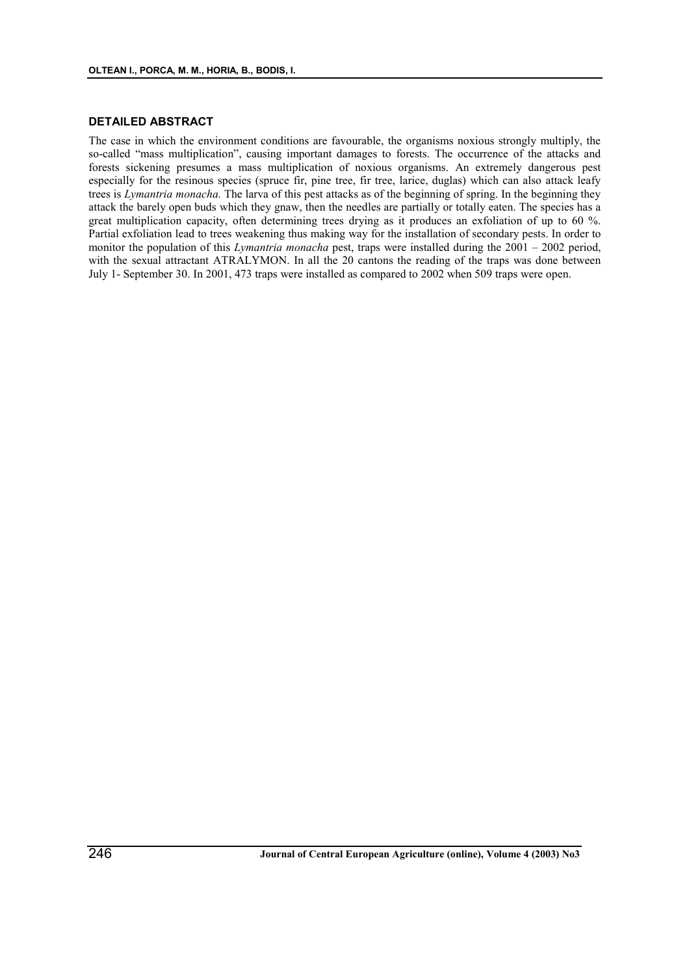#### **DETAILED ABSTRACT**

The case in which the environment conditions are favourable, the organisms noxious strongly multiply, the so-called "mass multiplication", causing important damages to forests. The occurrence of the attacks and forests sickening presumes a mass multiplication of noxious organisms. An extremely dangerous pest especially for the resinous species (spruce fir, pine tree, fir tree, larice, duglas) which can also attack leafy trees is *Lymantria monacha.* The larva of this pest attacks as of the beginning of spring. In the beginning they attack the barely open buds which they gnaw, then the needles are partially or totally eaten. The species has a great multiplication capacity, often determining trees drying as it produces an exfoliation of up to 60 %. Partial exfoliation lead to trees weakening thus making way for the installation of secondary pests. In order to monitor the population of this *Lymantria monacha* pest, traps were installed during the 2001 – 2002 period, with the sexual attractant ATRALYMON. In all the 20 cantons the reading of the traps was done between July 1- September 30. In 2001, 473 traps were installed as compared to 2002 when 509 traps were open.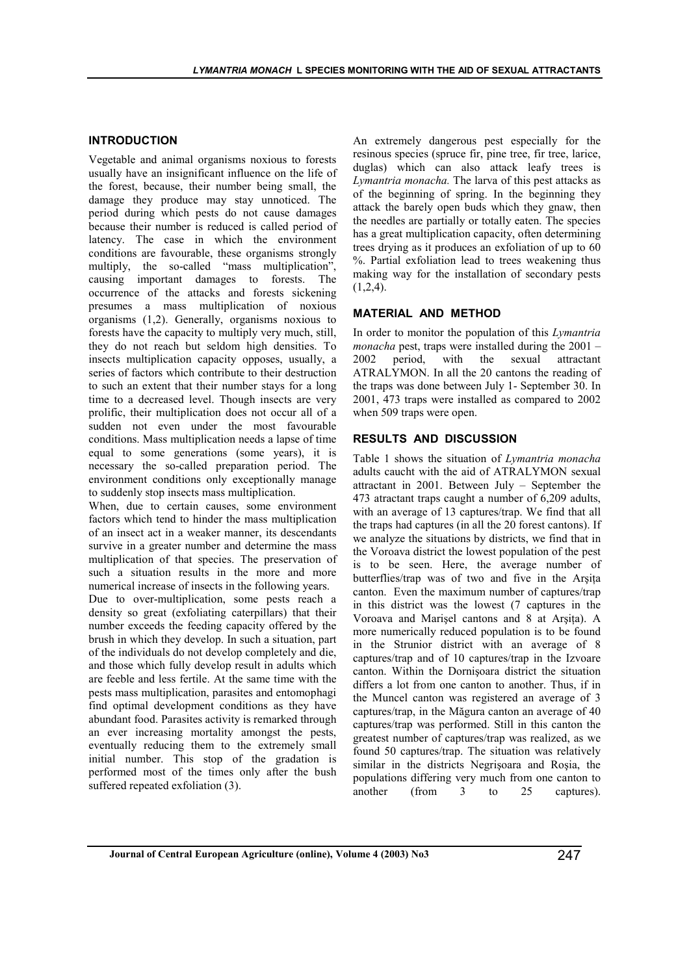#### **INTRODUCTION**

Vegetable and animal organisms noxious to forests usually have an insignificant influence on the life of the forest, because, their number being small, the damage they produce may stay unnoticed. The period during which pests do not cause damages because their number is reduced is called period of latency. The case in which the environment conditions are favourable, these organisms strongly multiply, the so-called "mass multiplication", causing important damages to forests. The occurrence of the attacks and forests sickening presumes a mass multiplication of noxious organisms (1,2). Generally, organisms noxious to forests have the capacity to multiply very much, still, they do not reach but seldom high densities. To insects multiplication capacity opposes, usually, a series of factors which contribute to their destruction to such an extent that their number stays for a long time to a decreased level. Though insects are very prolific, their multiplication does not occur all of a sudden not even under the most favourable conditions. Mass multiplication needs a lapse of time equal to some generations (some years), it is necessary the so-called preparation period. The environment conditions only exceptionally manage to suddenly stop insects mass multiplication.

When, due to certain causes, some environment factors which tend to hinder the mass multiplication of an insect act in a weaker manner, its descendants survive in a greater number and determine the mass multiplication of that species. The preservation of such a situation results in the more and more numerical increase of insects in the following years.

Due to over-multiplication, some pests reach a density so great (exfoliating caterpillars) that their number exceeds the feeding capacity offered by the brush in which they develop. In such a situation, part of the individuals do not develop completely and die, and those which fully develop result in adults which are feeble and less fertile. At the same time with the pests mass multiplication, parasites and entomophagi find optimal development conditions as they have abundant food. Parasites activity is remarked through an ever increasing mortality amongst the pests, eventually reducing them to the extremely small initial number. This stop of the gradation is performed most of the times only after the bush suffered repeated exfoliation (3).

An extremely dangerous pest especially for the resinous species (spruce fir, pine tree, fir tree, larice, duglas) which can also attack leafy trees is *Lymantria monacha.* The larva of this pest attacks as of the beginning of spring. In the beginning they attack the barely open buds which they gnaw, then the needles are partially or totally eaten. The species has a great multiplication capacity, often determining trees drying as it produces an exfoliation of up to 60 %. Partial exfoliation lead to trees weakening thus making way for the installation of secondary pests  $(1,2,4)$ .

#### **MATERIAL AND METHOD**

In order to monitor the population of this *Lymantria monacha* pest, traps were installed during the 2001 – 2002 period, with the sexual attractant ATRALYMON. In all the 20 cantons the reading of the traps was done between July 1- September 30. In 2001, 473 traps were installed as compared to 2002 when 509 traps were open.

# **RESULTS AND DISCUSSION**

Table 1 shows the situation of *Lymantria monacha*  adults caucht with the aid of ATRALYMON sexual attractant in 2001. Between July – September the 473 atractant traps caught a number of 6,209 adults, with an average of 13 captures/trap. We find that all the traps had captures (in all the 20 forest cantons). If we analyze the situations by districts, we find that in the Voroava district the lowest population of the pest is to be seen. Here, the average number of butterflies/trap was of two and five in the Arsita canton. Even the maximum number of captures/trap in this district was the lowest (7 captures in the Voroava and Marişel cantons and 8 at Arşiţa). A more numerically reduced population is to be found in the Strunior district with an average of 8 captures/trap and of 10 captures/trap in the Izvoare canton. Within the Dornişoara district the situation differs a lot from one canton to another. Thus, if in the Muncel canton was registered an average of 3 captures/trap, in the Măgura canton an average of 40 captures/trap was performed. Still in this canton the greatest number of captures/trap was realized, as we found 50 captures/trap. The situation was relatively similar in the districts Negrişoara and Roşia, the populations differing very much from one canton to another (from 3 to 25 captures).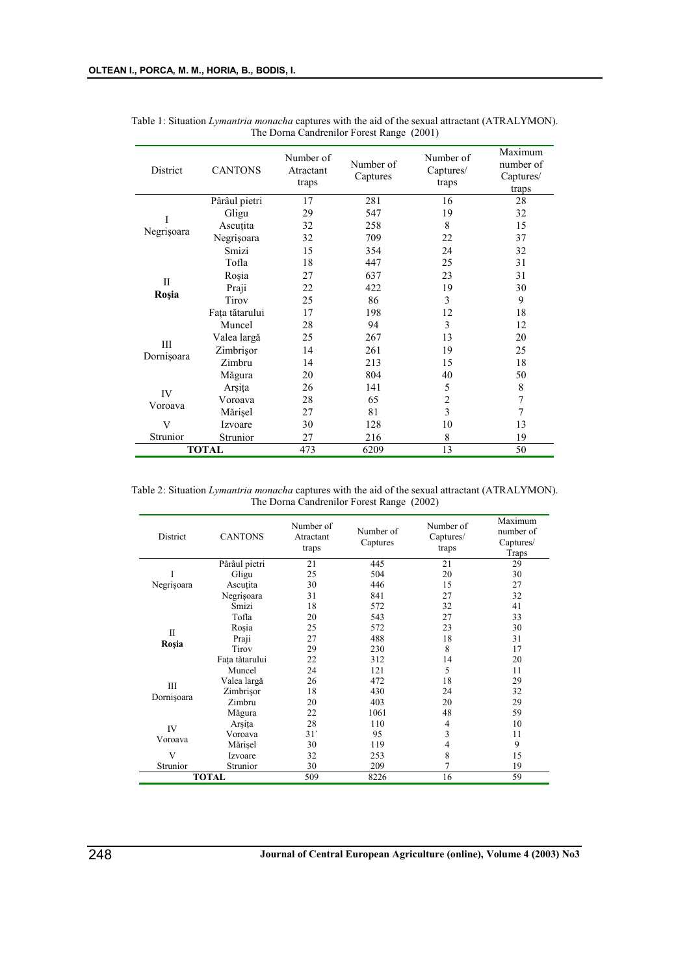| District              | <b>CANTONS</b> | Number of<br>Atractant<br>traps | Number of<br>Captures | Number of<br>Captures/<br>traps | Maximum<br>number of<br>Captures/<br>traps |
|-----------------------|----------------|---------------------------------|-----------------------|---------------------------------|--------------------------------------------|
| I<br>Negrișoara       | Pârâul pietri  | 17                              | 281                   | 16                              | 28                                         |
|                       | Gligu          | 29                              | 547                   | 19                              | 32                                         |
|                       | Ascuțita       | 32                              | 258                   | 8                               | 15                                         |
|                       | Negrișoara     | 32                              | 709                   | 22                              | 37                                         |
|                       | Smizi          | 15                              | 354                   | 24                              | 32                                         |
| $\mathbf{I}$<br>Roșia | Tofla          | 18                              | 447                   | 25                              | 31                                         |
|                       | Rosia          | 27                              | 637                   | 23                              | 31                                         |
|                       | Praji          | 22                              | 422                   | 19                              | 30                                         |
|                       | Tirov          | 25                              | 86                    | 3                               | 9                                          |
|                       | Fața tătarului | 17                              | 198                   | 12                              | 18                                         |
| III<br>Dornişoara     | Muncel         | 28                              | 94                    | 3                               | 12                                         |
|                       | Valea largă    | 25                              | 267                   | 13                              | 20                                         |
|                       | Zimbrişor      | 14                              | 261                   | 19                              | 25                                         |
|                       | Zimbru         | 14                              | 213                   | 15                              | 18                                         |
|                       | Măgura         | 20                              | 804                   | 40                              | 50                                         |
| IV<br>Voroava         | Arşița         | 26                              | 141                   | 5                               | 8                                          |
|                       | Voroava        | 28                              | 65                    | 2                               | $\overline{7}$                             |
|                       | Mărișel        | 27                              | 81                    | 3                               | 7                                          |
| V                     | Izvoare        | 30                              | 128                   | 10                              | 13                                         |
| Strunior              | Strunior       | 27                              | 216                   | 8                               | 19                                         |
| <b>TOTAL</b>          |                | 473                             | 6209                  | 13                              | 50                                         |

Table 1: Situation *Lymantria monacha* captures with the aid of the sexual attractant (ATRALYMON). The Dorna Candrenilor Forest Range (2001)

Table 2: Situation *Lymantria monacha* captures with the aid of the sexual attractant (ATRALYMON). The Dorna Candrenilor Forest Range (2002)

| District        | <b>CANTONS</b> | Number of<br>Atractant<br>traps | Number of<br>Captures | Number of<br>Captures/<br>traps | Maximum<br>number of<br>Captures/<br>Traps |
|-----------------|----------------|---------------------------------|-----------------------|---------------------------------|--------------------------------------------|
|                 | Pârâul pietri  | 21                              | 445                   | 21                              | 29                                         |
| Negrișoara      | Gligu          | 25                              | 504                   | 20                              | 30                                         |
|                 | Ascuțita       | 30                              | 446                   | 15                              | 27                                         |
|                 | Negrișoara     | 31                              | 841                   | 27                              | 32                                         |
|                 | Smizi          | 18                              | 572                   | 32                              | 41                                         |
| H<br>Roșia      | Tofla          | 20                              | 543                   | 27                              | 33                                         |
|                 | Rosia          | 25                              | 572                   | 23                              | 30                                         |
|                 | Praji          | 27                              | 488                   | 18                              | 31                                         |
|                 | Tirov          | 29                              | 230                   | 8                               | 17                                         |
|                 | Fața tătarului | 22                              | 312                   | 14                              | 20                                         |
| Ш<br>Dornişoara | Muncel         | 24                              | 121                   | 5                               | 11                                         |
|                 | Valea largă    | 26                              | 472                   | 18                              | 29                                         |
|                 | Zimbrisor      | 18                              | 430                   | 24                              | 32                                         |
|                 | Zimbru         | 20                              | 403                   | 20                              | 29                                         |
|                 | Măgura         | 22                              | 1061                  | 48                              | 59                                         |
| IV<br>Voroava   | Arşița         | 28                              | 110                   | 4                               | 10                                         |
|                 | Voroava        | 31'                             | 95                    | 3                               | 11                                         |
|                 | Mărișel        | 30                              | 119                   | 4                               | 9                                          |
| V               | Izvoare        | 32                              | 253                   | 8                               | 15                                         |
| Strunior        | Strunior       | 30                              | 209                   | 7                               | 19                                         |
| <b>TOTAL</b>    |                | 509                             | 8226                  | 16                              | 59                                         |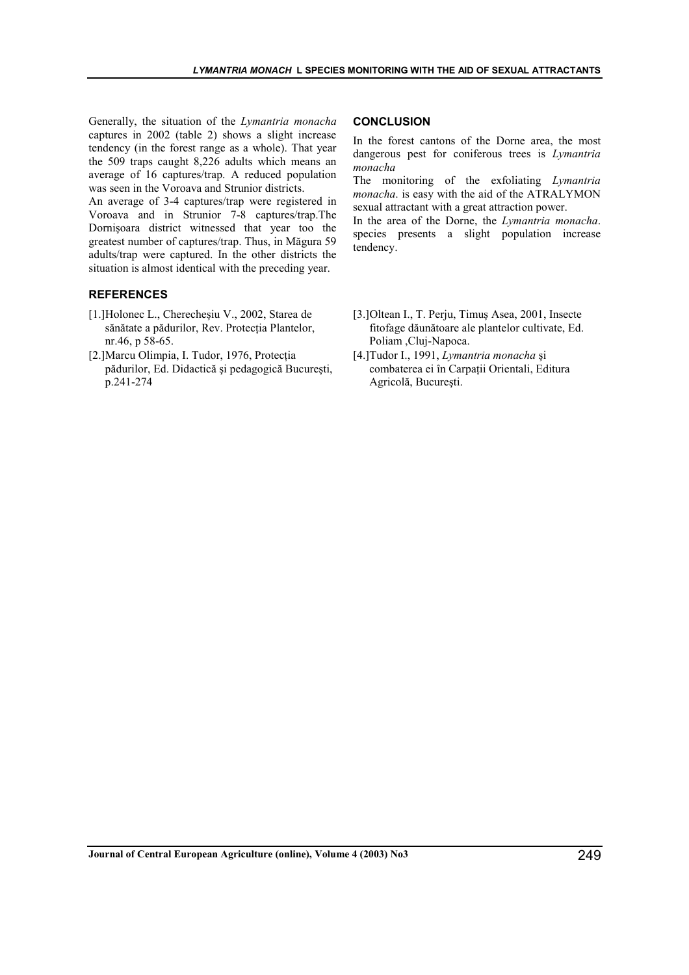Generally, the situation of the *Lymantria monacha*  captures in 2002 (table 2) shows a slight increase tendency (in the forest range as a whole). That year the 509 traps caught 8,226 adults which means an average of 16 captures/trap. A reduced population was seen in the Voroava and Strunior districts.

An average of 3-4 captures/trap were registered in Voroava and in Strunior 7-8 captures/trap.The Dornişoara district witnessed that year too the greatest number of captures/trap. Thus, in Măgura 59 adults/trap were captured. In the other districts the situation is almost identical with the preceding year.

#### **REFERENCES**

- [1.]Holonec L., Cherecheşiu V., 2002, Starea de sănătate a pădurilor, Rev. Protecţia Plantelor, nr.46, p 58-65.
- [2.]Marcu Olimpia, I. Tudor, 1976, Protecţia pădurilor, Ed. Didactică şi pedagogică Bucureşti, p.241-274

# **CONCLUSION**

In the forest cantons of the Dorne area, the most dangerous pest for coniferous trees is *Lymantria monacha*

The monitoring of the exfoliating *Lymantria monacha*. is easy with the aid of the ATRALYMON sexual attractant with a great attraction power.

In the area of the Dorne, the *Lymantria monacha*. species presents a slight population increase tendency.

- [3.]Oltean I., T. Perju, Timuş Asea, 2001, Insecte fitofage dăunătoare ale plantelor cultivate, Ed. Poliam ,Cluj-Napoca.
- [4.]Tudor I., 1991, *Lymantria monacha* şi combaterea ei în Carpaţii Orientali, Editura Agricolă, Bucureşti.